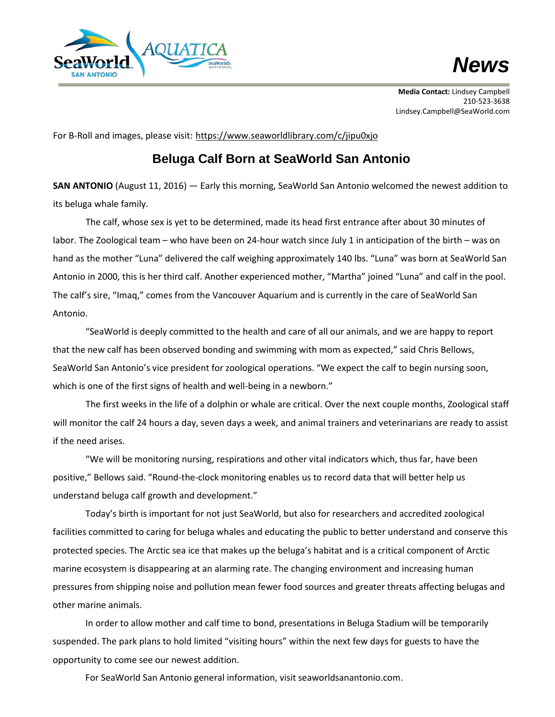

## *News*

**Media Contact:** Lindsey Campbell 210-523-3638 Lindsey.Campbell@SeaWorld.com

For B-Roll and images, please visit: <https://www.seaworldlibrary.com/c/jipu0xjo>

## **Beluga Calf Born at SeaWorld San Antonio**

**SAN ANTONIO** (August 11, 2016) — Early this morning, SeaWorld San Antonio welcomed the newest addition to its beluga whale family.

The calf, whose sex is yet to be determined, made its head first entrance after about 30 minutes of labor. The Zoological team – who have been on 24-hour watch since July 1 in anticipation of the birth – was on hand as the mother "Luna" delivered the calf weighing approximately 140 lbs. "Luna" was born at SeaWorld San Antonio in 2000, this is her third calf. Another experienced mother, "Martha" joined "Luna" and calf in the pool. The calf's sire, "Imaq," comes from the Vancouver Aquarium and is currently in the care of SeaWorld San Antonio.

"SeaWorld is deeply committed to the health and care of all our animals, and we are happy to report that the new calf has been observed bonding and swimming with mom as expected," said Chris Bellows, SeaWorld San Antonio's vice president for zoological operations. "We expect the calf to begin nursing soon, which is one of the first signs of health and well-being in a newborn."

The first weeks in the life of a dolphin or whale are critical. Over the next couple months, Zoological staff will monitor the calf 24 hours a day, seven days a week, and animal trainers and veterinarians are ready to assist if the need arises.

"We will be monitoring nursing, respirations and other vital indicators which, thus far, have been positive," Bellows said. "Round-the-clock monitoring enables us to record data that will better help us understand beluga calf growth and development."

Today's birth is important for not just SeaWorld, but also for researchers and accredited zoological facilities committed to caring for beluga whales and educating the public to better understand and conserve this protected species. The Arctic sea ice that makes up the beluga's habitat and is a critical component of Arctic marine ecosystem is disappearing at an alarming rate. The changing environment and increasing human pressures from shipping noise and pollution mean fewer food sources and greater threats affecting belugas and other marine animals.

In order to allow mother and calf time to bond, presentations in Beluga Stadium will be temporarily suspended. The park plans to hold limited "visiting hours" within the next few days for guests to have the opportunity to come see our newest addition.

For SeaWorld San Antonio general information, visit seaworldsanantonio.com.